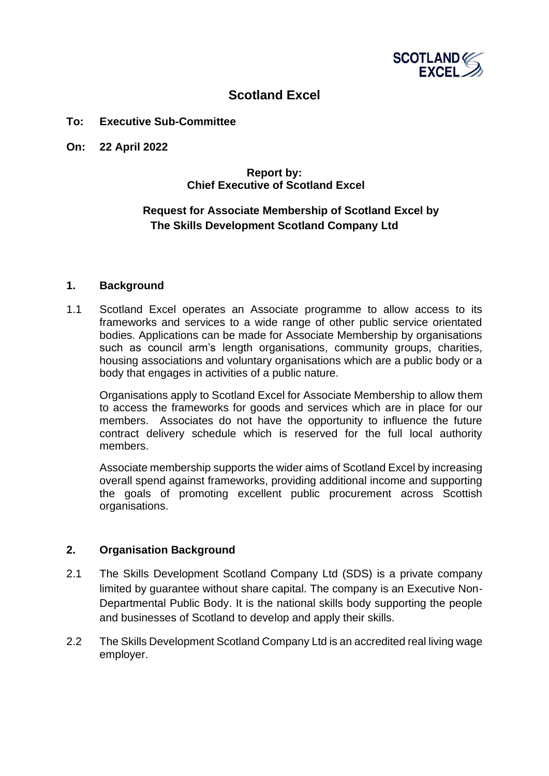

# **Scotland Excel**

#### **To: Executive Sub-Committee**

**On: 22 April 2022**

## **Report by: Chief Executive of Scotland Excel**

# **Request for Associate Membership of Scotland Excel by The Skills Development Scotland Company Ltd**

#### **1. Background**

1.1 Scotland Excel operates an Associate programme to allow access to its frameworks and services to a wide range of other public service orientated bodies. Applications can be made for Associate Membership by organisations such as council arm's length organisations, community groups, charities, housing associations and voluntary organisations which are a public body or a body that engages in activities of a public nature.

Organisations apply to Scotland Excel for Associate Membership to allow them to access the frameworks for goods and services which are in place for our members. Associates do not have the opportunity to influence the future contract delivery schedule which is reserved for the full local authority members.

Associate membership supports the wider aims of Scotland Excel by increasing overall spend against frameworks, providing additional income and supporting the goals of promoting excellent public procurement across Scottish organisations.

## **2. Organisation Background**

- 2.1 The Skills Development Scotland Company Ltd (SDS) is a private company limited by guarantee without share capital. The company is an Executive Non-Departmental Public Body. It is the national skills body supporting the people and businesses of Scotland to develop and apply their skills.
- 2.2 The Skills Development Scotland Company Ltd is an accredited real living wage employer.